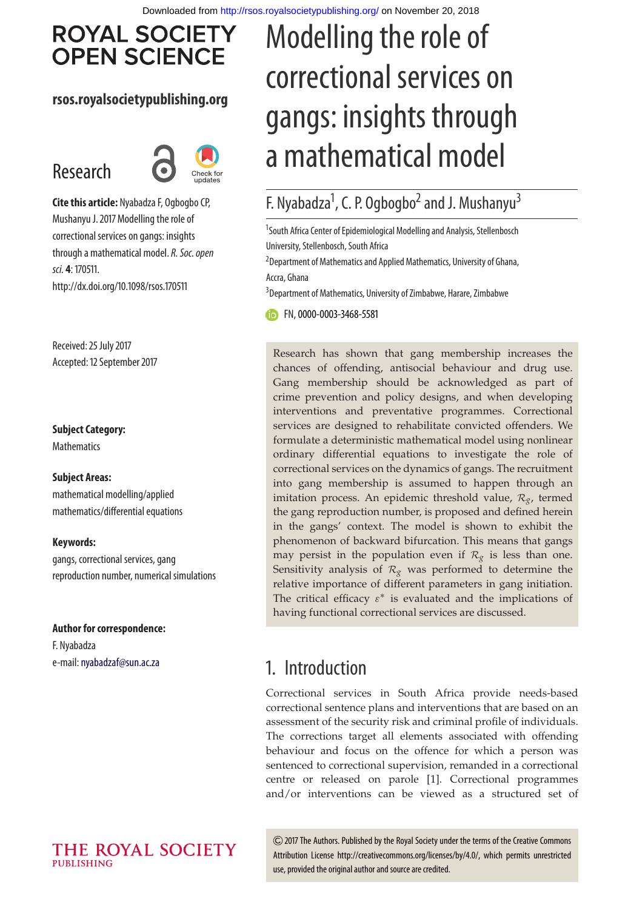Modelling the role of

correctional services on

gangs: insights through

a mathematical model

F. Nyabadza<sup>1</sup>, C. P. Ogbogbo<sup>2</sup> and J. Mushanyu<sup>3</sup>

# **ROYAL SOCIETY OPEN SCIENCE**

### **rsos.royalsocietypublishing.org**

# Research



**Cite this article:** Nyabadza F, Ogbogbo CP, Mushanyu J. 2017 Modelling the role of correctional services on gangs: insights through a mathematical model. R. Soc. open sci. **4**: 170511. http://dx.doi.org/10.1098/rsos.170511

Received: 25 July 2017 Accepted: 12 September 2017

#### **Subject Category:**

**Mathematics** 

#### **Subject Areas:**

mathematical modelling/applied mathematics/differential equations

#### **Keywords:**

gangs, correctional services, gang reproduction number, numerical simulations

### **Author for correspondence:**

F. Nyabadza e-mail: [nyabadzaf@sun.ac.za](mailto:nyabadzaf@sun.ac.za)

## <sup>1</sup>South Africa Center of Epidemiological Modelling and Analysis, Stellenbosch University, Stellenbosch, South Africa <sup>2</sup> Department of Mathematics and Applied Mathematics, University of Ghana, Accra, Ghana <sup>3</sup> Department of Mathematics, University of Zimbabwe, Harare, Zimbabwe FN,[0000-0003-3468-5581](http://orcid.org/0000-0003-3468-5581)

Research has shown that gang membership increases the chances of offending, antisocial behaviour and drug use. Gang membership should be acknowledged as part of crime prevention and policy designs, and when developing interventions and preventative programmes. Correctional services are designed to rehabilitate convicted offenders. We formulate a deterministic mathematical model using nonlinear ordinary differential equations to investigate the role of correctional services on the dynamics of gangs. The recruitment into gang membership is assumed to happen through an imitation process. An epidemic threshold value, *Rg*, termed the gang reproduction number, is proposed and defined herein in the gangs' context. The model is shown to exhibit the phenomenon of backward bifurcation. This means that gangs may persist in the population even if  $\mathcal{R}_{g}$  is less than one. Sensitivity analysis of  $\mathcal{R}_g$  was performed to determine the relative importance of different parameters in gang initiation. The critical efficacy  $\varepsilon^*$  is evaluated and the implications of having functional correctional services are discussed.

# 1. Introduction

Correctional services in South Africa provide needs-based correctional sentence plans and interventions that are based on an assessment of the security risk and criminal profile of individuals. The corrections target all elements associated with offending behaviour and focus on the offence for which a person was sentenced to correctional supervision, remanded in a correctional centre or released on parole [\[1\]](#page-12-0). Correctional programmes and/or interventions can be viewed as a structured set of

2017 The Authors. Published by the Royal Society under the terms of the Creative Commons Attribution License http://creativecommons.org/licenses/by/4.0/, which permits unrestricted use, provided the original author and source are credited.

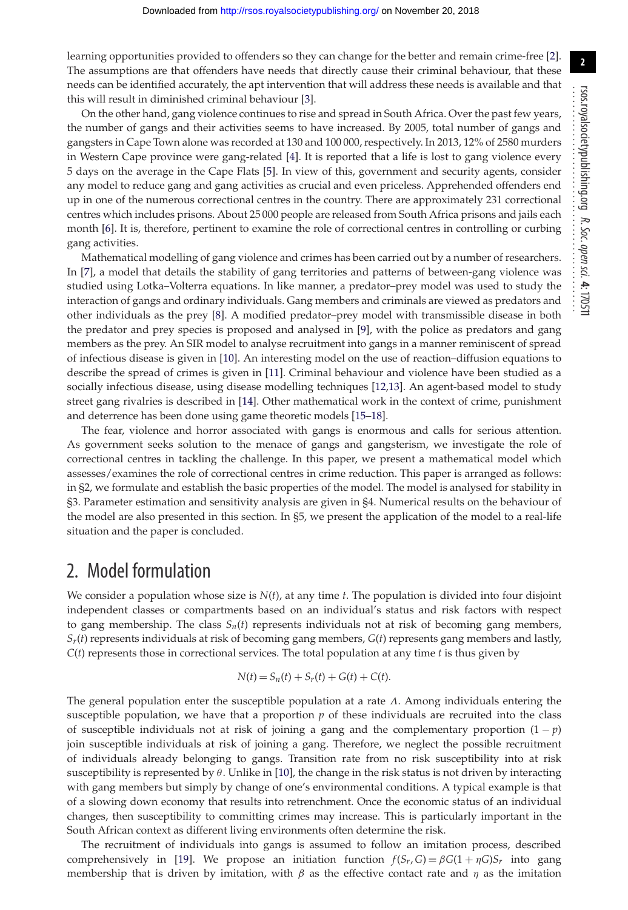learning opportunities provided to offenders so they can change for the better and remain crime-free [\[2\]](#page-12-1). The assumptions are that offenders have needs that directly cause their criminal behaviour, that these needs can be identified accurately, the apt intervention that will address these needs is available and that this will result in diminished criminal behaviour [\[3\]](#page-12-2).

On the other hand, gang violence continues to rise and spread in South Africa. Over the past few years, the number of gangs and their activities seems to have increased. By 2005, total number of gangs and gangsters in Cape Town alone was recorded at 130 and 100 000, respectively. In 2013, 12% of 2580 murders in Western Cape province were gang-related [\[4\]](#page-12-3). It is reported that a life is lost to gang violence every 5 days on the average in the Cape Flats [\[5\]](#page-12-4). In view of this, government and security agents, consider any model to reduce gang and gang activities as crucial and even priceless. Apprehended offenders end up in one of the numerous correctional centres in the country. There are approximately 231 correctional centres which includes prisons. About 25 000 people are released from South Africa prisons and jails each month [\[6\]](#page-12-5). It is, therefore, pertinent to examine the role of correctional centres in controlling or curbing gang activities.

Mathematical modelling of gang violence and crimes has been carried out by a number of researchers. In [\[7\]](#page-12-6), a model that details the stability of gang territories and patterns of between-gang violence was studied using Lotka–Volterra equations. In like manner, a predator–prey model was used to study the interaction of gangs and ordinary individuals. Gang members and criminals are viewed as predators and other individuals as the prey [\[8\]](#page-12-7). A modified predator–prey model with transmissible disease in both the predator and prey species is proposed and analysed in [\[9\]](#page-12-8), with the police as predators and gang members as the prey. An SIR model to analyse recruitment into gangs in a manner reminiscent of spread of infectious disease is given in [\[10\]](#page-12-9). An interesting model on the use of reaction–diffusion equations to describe the spread of crimes is given in [\[11\]](#page-12-10). Criminal behaviour and violence have been studied as a socially infectious disease, using disease modelling techniques [\[12](#page-12-11)[,13\]](#page-12-12). An agent-based model to study street gang rivalries is described in [\[14\]](#page-12-13). Other mathematical work in the context of crime, punishment and deterrence has been done using game theoretic models [\[15–](#page-12-14)[18\]](#page-12-15).

The fear, violence and horror associated with gangs is enormous and calls for serious attention. As government seeks solution to the menace of gangs and gangsterism, we investigate the role of correctional centres in tackling the challenge. In this paper, we present a mathematical model which assesses/examines the role of correctional centres in crime reduction. This paper is arranged as follows: in §2, we formulate and establish the basic properties of the model. The model is analysed for stability in §3. Parameter estimation and sensitivity analysis are given in §4. Numerical results on the behaviour of the model are also presented in this section. In §5, we present the application of the model to a real-life situation and the paper is concluded.

## 2. Model formulation

We consider a population whose size is *N*(*t*), at any time *t*. The population is divided into four disjoint independent classes or compartments based on an individual's status and risk factors with respect to gang membership. The class  $S_n(t)$  represents individuals not at risk of becoming gang members, *Sr*(*t*) represents individuals at risk of becoming gang members, *G*(*t*) represents gang members and lastly, *C*(*t*) represents those in correctional services. The total population at any time *t* is thus given by

$$
N(t) = S_n(t) + S_r(t) + G(t) + C(t).
$$

The general population enter the susceptible population at a rate Λ. Among individuals entering the susceptible population, we have that a proportion  $p$  of these individuals are recruited into the class of susceptible individuals not at risk of joining a gang and the complementary proportion (1 − *p*) join susceptible individuals at risk of joining a gang. Therefore, we neglect the possible recruitment of individuals already belonging to gangs. Transition rate from no risk susceptibility into at risk susceptibility is represented by  $\theta$ . Unlike in [\[10\]](#page-12-9), the change in the risk status is not driven by interacting with gang members but simply by change of one's environmental conditions. A typical example is that of a slowing down economy that results into retrenchment. Once the economic status of an individual changes, then susceptibility to committing crimes may increase. This is particularly important in the South African context as different living environments often determine the risk.

The recruitment of individuals into gangs is assumed to follow an imitation process, described comprehensively in [\[19\]](#page-12-16). We propose an initiation function  $f(S_r, G) = \beta G(1 + \eta G)S_r$  into gang membership that is driven by imitation, with  $\beta$  as the effective contact rate and  $\eta$  as the imitation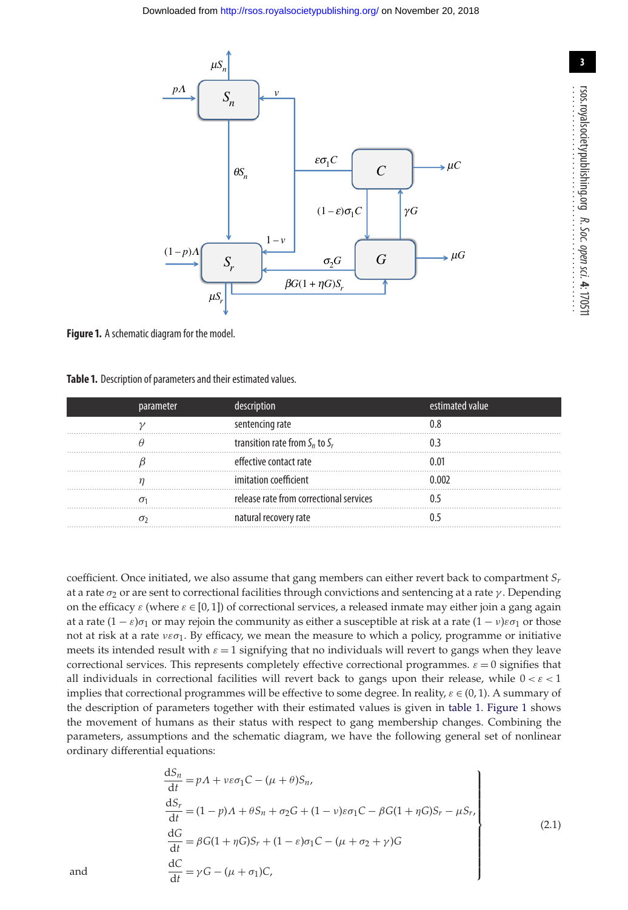<span id="page-2-1"></span>

**Figure 1.** A schematic diagram for the model.

<span id="page-2-0"></span>**Table 1.** Description of parameters and their estimated values.

| parameter | description                             | estimated value |
|-----------|-----------------------------------------|-----------------|
|           | sentencing rate                         |                 |
|           | transition rate from $S_n$ to $S_r$     |                 |
|           | effective contact rate                  |                 |
|           | imitation coefficient                   | በ በበን           |
|           | release rate from correctional services |                 |
|           | natural recovery rate                   |                 |

coefficient. Once initiated, we also assume that gang members can either revert back to compartment *Sr* at a rate  $\sigma_2$  or are sent to correctional facilities through convictions and sentencing at a rate  $\gamma$ . Depending on the efficacy  $\varepsilon$  (where  $\varepsilon \in [0,1]$ ) of correctional services, a released inmate may either join a gang again at a rate  $(1 - \varepsilon)\sigma_1$  or may rejoin the community as either a susceptible at risk at a rate  $(1 - \nu)\varepsilon\sigma_1$  or those not at risk at a rate  $v \varepsilon \sigma_1$ . By efficacy, we mean the measure to which a policy, programme or initiative meets its intended result with  $\varepsilon = 1$  signifying that no individuals will revert to gangs when they leave correctional services. This represents completely effective correctional programmes.  $\varepsilon = 0$  signifies that all individuals in correctional facilities will revert back to gangs upon their release, while  $0 < \varepsilon < 1$ implies that correctional programmes will be effective to some degree. In reality,  $\varepsilon \in (0, 1)$ . A summary of the description of parameters together with their estimated values is given in [table 1.](#page-2-0) [Figure 1](#page-2-1) shows the movement of humans as their status with respect to gang membership changes. Combining the parameters, assumptions and the schematic diagram, we have the following general set of nonlinear ordinary differential equations:

$$
\frac{dS_n}{dt} = pA + v\varepsilon\sigma_1C - (\mu + \theta)S_n,
$$
\n
$$
\frac{dS_r}{dt} = (1 - p)A + \theta S_n + \sigma_2 G + (1 - v)\varepsilon\sigma_1 C - \beta G(1 + \eta G)S_r - \mu S_r,
$$
\n
$$
\frac{dG}{dt} = \beta G(1 + \eta G)S_r + (1 - \varepsilon)\sigma_1 C - (\mu + \sigma_2 + \gamma)G
$$
\nand\n
$$
\frac{dC}{dt} = \gamma G - (\mu + \sigma_1)C,
$$
\n(2.1)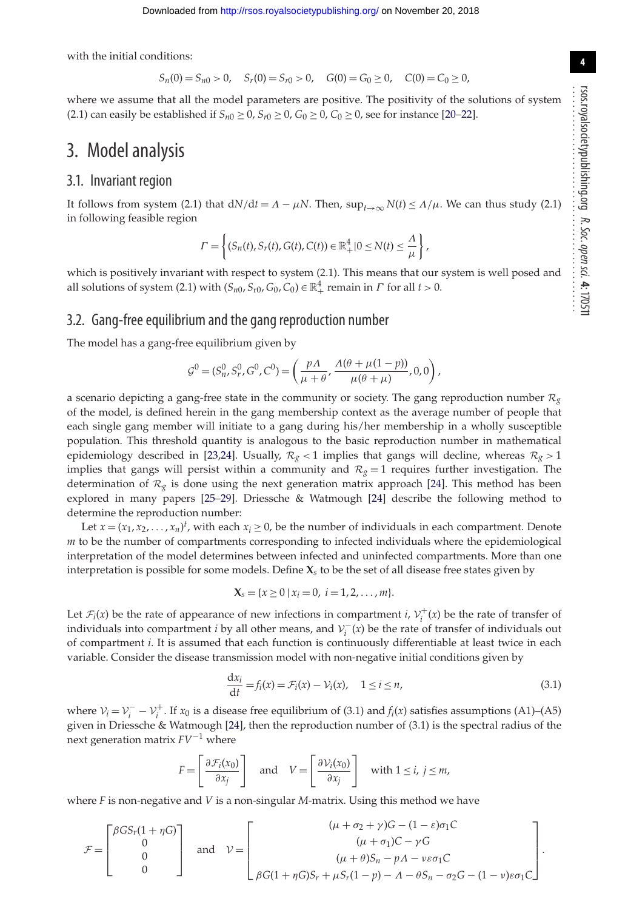**4**

with the initial conditions:

$$
S_n(0) = S_{n0} > 0, \quad S_r(0) = S_{r0} > 0, \quad G(0) = G_0 \ge 0, \quad C(0) = C_0 \ge 0,
$$

where we assume that all the model parameters are positive. The positivity of the solutions of system (2.1) can easily be established if  $S_{n0} \ge 0$ ,  $S_{r0} \ge 0$ ,  $G_0 \ge 0$ ,  $C_0 \ge 0$ , see for instance [\[20–](#page-12-17)[22\]](#page-12-18).

### 3. Model analysis

### 3.1. Invariant region

It follows from system (2.1) that  $dN/dt = \Lambda - \mu N$ . Then,  $\sup_{t\to\infty} N(t) \leq \Lambda/\mu$ . We can thus study (2.1) in following feasible region

$$
\Gamma = \left\{ (S_n(t), S_r(t), G(t), C(t)) \in \mathbb{R}_+^4 | 0 \le N(t) \le \frac{\Lambda}{\mu} \right\},\
$$

which is positively invariant with respect to system (2.1). This means that our system is well posed and all solutions of system (2.1) with  $(S_{n0}, S_{n0}, G_0, C_0) \in \mathbb{R}^4_+$  remain in  $\Gamma$  for all  $t > 0$ .

#### 3.2. Gang-free equilibrium and the gang reproduction number

The model has a gang-free equilibrium given by

$$
\mathcal{G}^{0} = (S_{n}^{0}, S_{r}^{0}, G^{0}, C^{0}) = \left(\frac{p\Lambda}{\mu + \theta}, \frac{\Lambda(\theta + \mu(1 - p))}{\mu(\theta + \mu)}, 0, 0\right),
$$

a scenario depicting a gang-free state in the community or society. The gang reproduction number  $\mathcal{R}_g$ of the model, is defined herein in the gang membership context as the average number of people that each single gang member will initiate to a gang during his/her membership in a wholly susceptible population. This threshold quantity is analogous to the basic reproduction number in mathematical epidemiology described in [\[23,](#page-12-19)[24\]](#page-12-20). Usually,  $R_g < 1$  implies that gangs will decline, whereas  $R_g > 1$ implies that gangs will persist within a community and  $R_g = 1$  requires further investigation. The determination of  $\mathcal{R}_{g}$  is done using the next generation matrix approach [\[24\]](#page-12-20). This method has been explored in many papers [\[25](#page-12-21)[–29\]](#page-12-22). Driessche & Watmough [\[24\]](#page-12-20) describe the following method to determine the reproduction number:

Let  $x = (x_1, x_2, \dots, x_n)^t$ , with each  $x_i \ge 0$ , be the number of individuals in each compartment. Denote *m* to be the number of compartments corresponding to infected individuals where the epidemiological interpretation of the model determines between infected and uninfected compartments. More than one interpretation is possible for some models. Define **X***s* to be the set of all disease free states given by

$$
X_s = \{x \geq 0 \mid x_i = 0, \ i = 1, 2, \ldots, m\}.
$$

Let  $\mathcal{F}_i(x)$  be the rate of appearance of new infections in compartment *i*,  $\mathcal{V}_i^+(x)$  be the rate of transfer of individuals into compartment *i* by all other means, and  $V_i^-(x)$  be the rate of transfer of individuals out of compartment *i*. It is assumed that each function is continuously differentiable at least twice in each variable. Consider the disease transmission model with non-negative initial conditions given by

$$
\frac{dx_i}{dt} = f_i(x) = \mathcal{F}_i(x) - \mathcal{V}_i(x), \quad 1 \le i \le n,
$$
\n(3.1)

where  $V_i = V_i^- - V_i^+$ . If  $x_0$  is a disease free equilibrium of (3.1) and  $f_i(x)$  satisfies assumptions (A1)–(A5) given in Driessche & Watmough [\[24\]](#page-12-20), then the reproduction number of (3.1) is the spectral radius of the next generation matrix *FV*−<sup>1</sup> where

$$
F = \left[\frac{\partial \mathcal{F}_i(x_0)}{\partial x_j}\right] \quad \text{and} \quad V = \left[\frac{\partial \mathcal{V}_i(x_0)}{\partial x_j}\right] \quad \text{with } 1 \le i, j \le m,
$$

where *F* is non-negative and *V* is a non-singular *M*-matrix. Using this method we have

$$
\mathcal{F} = \begin{bmatrix} \beta G S_r (1 + \eta G) \\ 0 \\ 0 \\ 0 \end{bmatrix} \text{ and } \mathcal{V} = \begin{bmatrix} (\mu + \sigma_2 + \gamma) G - (1 - \varepsilon) \sigma_1 C \\ (\mu + \sigma_1) C - \gamma G \\ (\mu + \theta) S_n - p \Lambda - \nu \varepsilon \sigma_1 C \\ \beta G (1 + \eta G) S_r + \mu S_r (1 - p) - \Lambda - \theta S_n - \sigma_2 G - (1 - \nu) \varepsilon \sigma_1 C \end{bmatrix}.
$$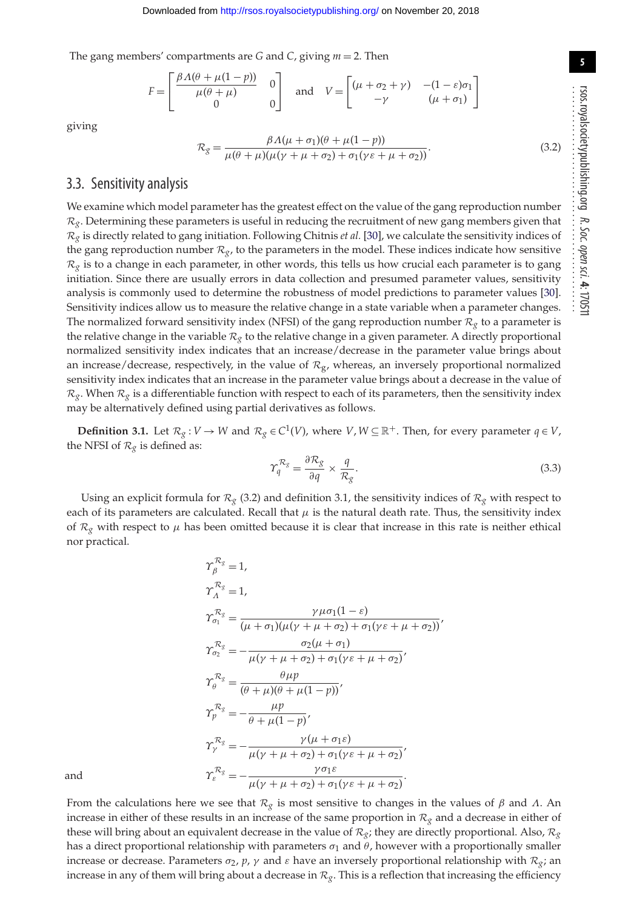The gang members' compartments are *G* and *C*, giving *m* = 2. Then

$$
F = \begin{bmatrix} \frac{\beta \Lambda(\theta + \mu(1 - p))}{\mu(\theta + \mu)} & 0\\ 0 & 0 \end{bmatrix} \text{ and } V = \begin{bmatrix} (\mu + \sigma_2 + \gamma) & -(1 - \varepsilon)\sigma_1\\ -\gamma & (\mu + \sigma_1) \end{bmatrix}
$$

giving

$$
\mathcal{R}_{g} = \frac{\beta \Lambda(\mu + \sigma_{1})(\theta + \mu(1 - p))}{\mu(\theta + \mu)(\mu(\gamma + \mu + \sigma_{2}) + \sigma_{1}(\gamma \varepsilon + \mu + \sigma_{2}))}.
$$
\n(3.2)

### 3.3. Sensitivity analysis

We examine which model parameter has the greatest effect on the value of the gang reproduction number  $\mathcal{R}_{g}$ . Determining these parameters is useful in reducing the recruitment of new gang members given that  $R_g$  is directly related to gang initiation. Following Chitnis *et al.* [\[30\]](#page-13-0), we calculate the sensitivity indices of the gang reproduction number  $\mathcal{R}_{g}$ , to the parameters in the model. These indices indicate how sensitive  $\mathcal{R}_{g}$  is to a change in each parameter, in other words, this tells us how crucial each parameter is to gang initiation. Since there are usually errors in data collection and presumed parameter values, sensitivity analysis is commonly used to determine the robustness of model predictions to parameter values [\[30\]](#page-13-0). Sensitivity indices allow us to measure the relative change in a state variable when a parameter changes. The normalized forward sensitivity index (NFSI) of the gang reproduction number  $\mathcal{R}_g$  to a parameter is the relative change in the variable  $\mathcal{R}_g$  to the relative change in a given parameter. A directly proportional normalized sensitivity index indicates that an increase/decrease in the parameter value brings about an increase/decrease, respectively, in the value of  $R<sub>g</sub>$ , whereas, an inversely proportional normalized sensitivity index indicates that an increase in the parameter value brings about a decrease in the value of  $R_g$ . When  $R_g$  is a differentiable function with respect to each of its parameters, then the sensitivity index may be alternatively defined using partial derivatives as follows.

**Definition 3.1.** Let  $\mathcal{R}_g : V \to W$  and  $\mathcal{R}_g \in C^1(V)$ , where  $V, W \subseteq \mathbb{R}^+$ . Then, for every parameter  $q \in V$ , the NFSI of  $\mathcal{R}_{g}$  is defined as:

$$
\Upsilon_q^{\mathcal{R}_g} = \frac{\partial \mathcal{R}_g}{\partial q} \times \frac{q}{\mathcal{R}_g}.\tag{3.3}
$$

Using an explicit formula for  $\mathcal{R}_g$  (3.2) and definition 3.1, the sensitivity indices of  $\mathcal{R}_g$  with respect to each of its parameters are calculated. Recall that  $\mu$  is the natural death rate. Thus, the sensitivity index of  $\mathcal{R}_{g}$  with respect to  $\mu$  has been omitted because it is clear that increase in this rate is neither ethical nor practical.

$$
\gamma_{\beta}^{\kappa_{g}} = 1,
$$
\n
$$
\gamma_{\alpha}^{\kappa_{g}} = 1,
$$
\n
$$
\gamma_{\alpha}^{\kappa_{g}} = \frac{\gamma \mu \sigma_{1}(1-\varepsilon)}{(\mu + \sigma_{1})(\mu(\gamma + \mu + \sigma_{2}) + \sigma_{1}(\gamma \varepsilon + \mu + \sigma_{2}))},
$$
\n
$$
\gamma_{\sigma_{2}}^{\kappa_{g}} = -\frac{\sigma_{2}(\mu + \sigma_{1})}{\mu(\gamma + \mu + \sigma_{2}) + \sigma_{1}(\gamma \varepsilon + \mu + \sigma_{2})},
$$
\n
$$
\gamma_{\beta}^{\kappa_{g}} = \frac{\theta \mu p}{(\theta + \mu)(\theta + \mu(1-p))},
$$
\n
$$
\gamma_{p}^{\kappa_{g}} = -\frac{\mu p}{\theta + \mu(1-p)},
$$
\n
$$
\gamma_{\gamma}^{\kappa_{g}} = -\frac{\gamma(\mu + \sigma_{1}\varepsilon)}{\mu(\gamma + \mu + \sigma_{2}) + \sigma_{1}(\gamma \varepsilon + \mu + \sigma_{2})},
$$
\nand\n
$$
\gamma_{\varepsilon}^{\kappa_{g}} = -\frac{\gamma \sigma_{1}\varepsilon}{\mu(\gamma + \mu + \sigma_{2}) + \sigma_{1}(\gamma \varepsilon + \mu + \sigma_{2})}.
$$

From the calculations here we see that  $R_g$  is most sensitive to changes in the values of  $\beta$  and  $\Lambda$ . An increase in either of these results in an increase of the same proportion in *R<sup>g</sup>* and a decrease in either of these will bring about an equivalent decrease in the value of  $\mathcal{R}_g$ ; they are directly proportional. Also,  $\mathcal{R}_g$ has a direct proportional relationship with parameters  $\sigma_1$  and  $\theta$ , however with a proportionally smaller increase or decrease. Parameters  $\sigma_2$ ,  $p$ ,  $\gamma$  and  $\varepsilon$  have an inversely proportional relationship with  $\mathcal{R}_{g}$ ; an increase in any of them will bring about a decrease in  $\mathcal{R}_g$ . This is a reflection that increasing the efficiency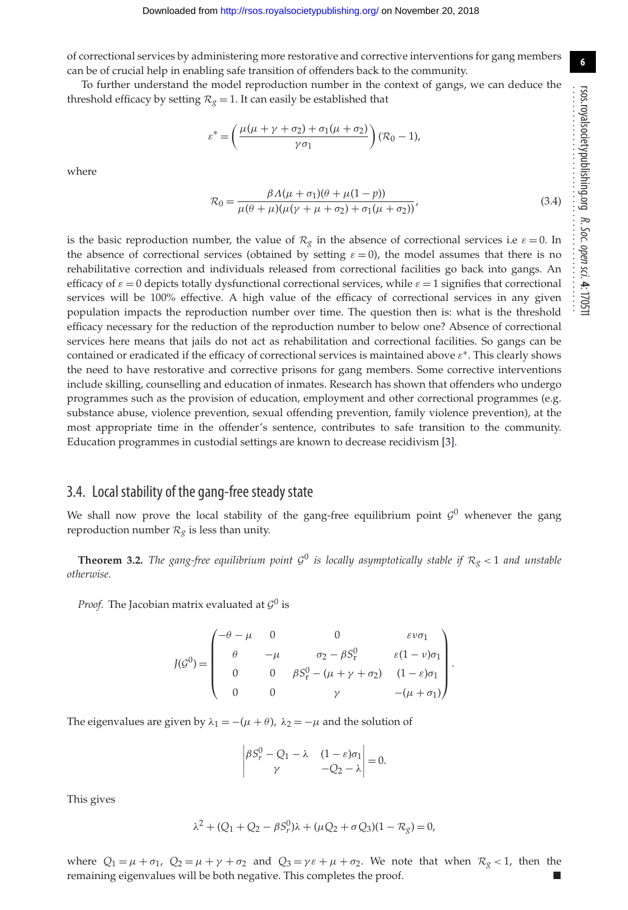of correctional services by administering more restorative and corrective interventions for gang members can be of crucial help in enabling safe transition of offenders back to the community.

To further understand the model reproduction number in the context of gangs, we can deduce the threshold efficacy by setting  $R_g = 1$ . It can easily be established that

$$
\varepsilon^* = \left(\frac{\mu(\mu + \gamma + \sigma_2) + \sigma_1(\mu + \sigma_2)}{\gamma \sigma_1}\right) (\mathcal{R}_0 - 1),
$$

where

$$
\mathcal{R}_0 = \frac{\beta \Lambda(\mu + \sigma_1)(\theta + \mu(1 - p))}{\mu(\theta + \mu)(\mu(\gamma + \mu + \sigma_2) + \sigma_1(\mu + \sigma_2))},
$$
\n(3.4)

is the basic reproduction number, the value of  $\mathcal{R}_g$  in the absence of correctional services i.e  $\varepsilon = 0$ . In the absence of correctional services (obtained by setting  $\varepsilon = 0$ ), the model assumes that there is no rehabilitative correction and individuals released from correctional facilities go back into gangs. An efficacy of  $\varepsilon = 0$  depicts totally dysfunctional correctional services, while  $\varepsilon = 1$  signifies that correctional services will be 100% effective. A high value of the efficacy of correctional services in any given population impacts the reproduction number over time. The question then is: what is the threshold efficacy necessary for the reduction of the reproduction number to below one? Absence of correctional services here means that jails do not act as rehabilitation and correctional facilities. So gangs can be contained or eradicated if the efficacy of correctional services is maintained above  $\varepsilon^*$ . This clearly shows the need to have restorative and corrective prisons for gang members. Some corrective interventions include skilling, counselling and education of inmates. Research has shown that offenders who undergo programmes such as the provision of education, employment and other correctional programmes (e.g. substance abuse, violence prevention, sexual offending prevention, family violence prevention), at the most appropriate time in the offender's sentence, contributes to safe transition to the community. Education programmes in custodial settings are known to decrease recidivism [\[3\]](#page-12-2).

### 3.4. Local stability of the gang-free steady state

We shall now prove the local stability of the gang-free equilibrium point  $G^0$  whenever the gang reproduction number  $\mathcal{R}_g$  is less than unity.

**Theorem 3.2.** *The gang-free equilibrium point*  $G^0$  *is locally asymptotically stable if*  $R_g < 1$  *and unstable otherwise.*

*Proof.* The Jacobian matrix evaluated at *<sup>G</sup>*<sup>0</sup> is

$$
J(G^{0}) = \begin{pmatrix} -\theta - \mu & 0 & 0 & \varepsilon \nu \sigma_{1} \\ \theta & -\mu & \sigma_{2} - \beta S_{r}^{0} & \varepsilon (1 - \nu) \sigma_{1} \\ 0 & 0 & \beta S_{r}^{0} - (\mu + \gamma + \sigma_{2}) & (1 - \varepsilon) \sigma_{1} \\ 0 & 0 & \gamma & -(\mu + \sigma_{1}) \end{pmatrix}.
$$

The eigenvalues are given by  $\lambda_1 = -(\mu + \theta)$ ,  $\lambda_2 = -\mu$  and the solution of

$$
\begin{vmatrix} \beta S_r^0 - Q_1 - \lambda & (1 - \varepsilon)\sigma_1 \\ \gamma & -Q_2 - \lambda \end{vmatrix} = 0.
$$

This gives

$$
\lambda^{2} + (Q_{1} + Q_{2} - \beta S_{r}^{0})\lambda + (\mu Q_{2} + \sigma Q_{3})(1 - R_{g}) = 0,
$$

where  $Q_1 = \mu + \sigma_1$ ,  $Q_2 = \mu + \gamma + \sigma_2$  and  $Q_3 = \gamma \varepsilon + \mu + \sigma_2$ . We note that when  $\mathcal{R}_{\chi} < 1$ , then the remaining eigenvalues will be both negative. This completes the proof.

**6**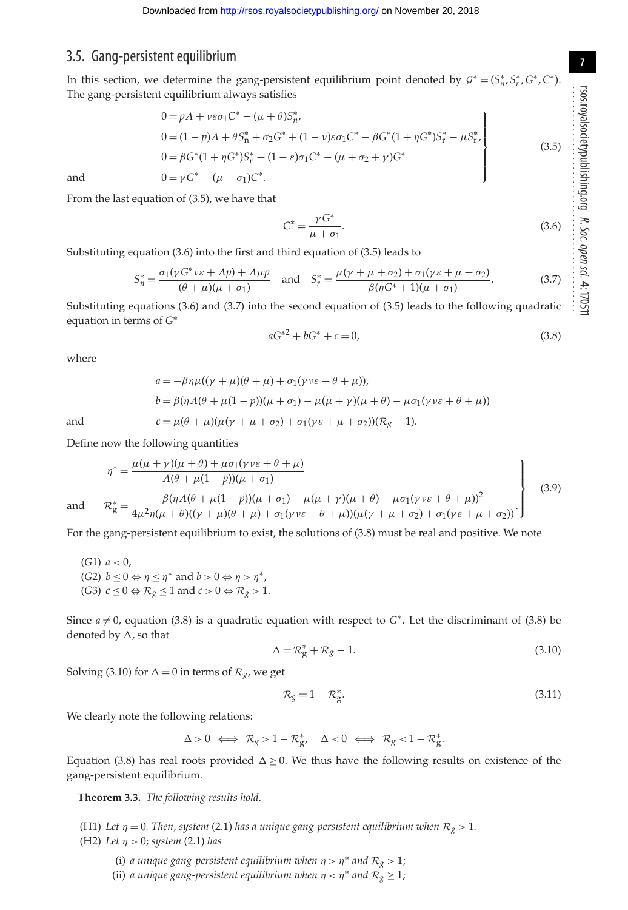### 3.5. Gang-persistent equilibrium

In this section, we determine the gang-persistent equilibrium point denoted by  $G^* = (S^*_{n}, S^*_{r}, G^*, C^*).$ The gang-persistent equilibrium always satisfies

$$
0 = pA + v\varepsilon\sigma_1 C^* - (\mu + \theta)S_n^*,
$$
  
\n
$$
0 = (1 - p)A + \theta S_n^* + \sigma_2 G^* + (1 - v)\varepsilon\sigma_1 C^* - \beta G^*(1 + \eta G^*)S_r^* - \mu S_r^*,
$$
  
\n
$$
0 = \beta G^*(1 + \eta G^*)S_r^* + (1 - \varepsilon)\sigma_1 C^* - (\mu + \sigma_2 + \gamma)G^*
$$
  
\nand  
\n
$$
0 = \gamma G^* - (\mu + \sigma_1)C^*.
$$
\n(3.5)

From the last equation of (3.5), we have that

$$
C^* = \frac{\gamma G^*}{\mu + \sigma_1}.\tag{3.6}
$$

Substituting equation (3.6) into the first and third equation of (3.5) leads to

$$
S_n^* = \frac{\sigma_1(\gamma G^* \nu \varepsilon + \Lambda p) + \Lambda \mu p}{(\theta + \mu)(\mu + \sigma_1)} \quad \text{and} \quad S_r^* = \frac{\mu(\gamma + \mu + \sigma_2) + \sigma_1(\gamma \varepsilon + \mu + \sigma_2)}{\beta(\eta G^* + 1)(\mu + \sigma_1)}.
$$
 (3.7)

Substituting equations (3.6) and (3.7) into the second equation of (3.5) leads to the following quadratic equation in terms of *G*<sup>∗</sup>

$$
aG^{*2} + bG^* + c = 0,\t\t(3.8)
$$

where

$$
a = -\beta \eta \mu ((\gamma + \mu)(\theta + \mu) + \sigma_1(\gamma \nu \varepsilon + \theta + \mu)),
$$
  
\n
$$
b = \beta (\eta \Lambda(\theta + \mu(1 - \mu))(\mu + \sigma_1) - \mu(\mu + \gamma)(\mu + \theta) - \mu \sigma_1(\gamma \nu \varepsilon + \theta + \mu))
$$
  
\nand  
\n
$$
c = \mu(\theta + \mu)(\mu(\gamma + \mu + \sigma_2) + \sigma_1(\gamma \varepsilon + \mu + \sigma_2))(\mathcal{R}_{g} - 1).
$$

Define now the following quantities

$$
\eta^* = \frac{\mu(\mu + \gamma)(\mu + \theta) + \mu\sigma_1(\gamma v \varepsilon + \theta + \mu)}{\Lambda(\theta + \mu(1 - p))(\mu + \sigma_1)}\n\left.\n\begin{matrix}\n\frac{\beta(\eta \Lambda(\theta + \mu(1 - p))(\mu + \sigma_1))}{\mu + \sigma_1} & \frac{\beta(\eta \Lambda(\theta + \mu(1 - p))(\mu + \sigma_1) - \mu(\mu + \gamma)(\mu + \theta) - \mu\sigma_1(\gamma v \varepsilon + \theta + \mu))^2}{\mu + \sigma_1(\gamma v \varepsilon + \theta + \mu)(\mu + \mu + \sigma_2) + \sigma_1(\gamma \varepsilon + \mu + \sigma_2)}\n\end{matrix}\n\right\}
$$
\n(3.9)

and *<sup>R</sup>*<sup>∗</sup>

For the gang-persistent equilibrium to exist, the solutions of (3.8) must be real and positive. We note

(*G*1)  $a < 0$ , (*G*2)  $b \le 0 \Leftrightarrow \eta \le \eta^*$  and  $b > 0 \Leftrightarrow \eta > \eta^*$ , (G3)  $c \leq 0 \Leftrightarrow \mathcal{R}_{g} \leq 1$  and  $c > 0 \Leftrightarrow \mathcal{R}_{g} > 1$ .

Since  $a \neq 0$ , equation (3.8) is a quadratic equation with respect to  $G^*$ . Let the discriminant of (3.8) be denoted by  $\Delta$ , so that

$$
\Delta = \mathcal{R}_{g}^{*} + \mathcal{R}_{g} - 1. \tag{3.10}
$$

Solving (3.10) for  $\Delta = 0$  in terms of  $\mathcal{R}_{g}$ , we get

$$
\mathcal{R}_{g} = 1 - \mathcal{R}_{g}^{*}.\tag{3.11}
$$

We clearly note the following relations:

$$
\Delta > 0 \iff \mathcal{R}_g > 1 - \mathcal{R}_{g'}^* \quad \Delta < 0 \iff \mathcal{R}_g < 1 - \mathcal{R}_g^*.
$$

Equation (3.8) has real roots provided  $\Delta \geq 0$ . We thus have the following results on existence of the gang-persistent equilibrium.

**Theorem 3.3.** *The following results hold.*

(H1) Let  $\eta = 0$ . Then, system (2.1) has a unique gang-persistent equilibrium when  $\mathcal{R}_g > 1$ . (H2) *Let* η > 0; *system* (2.1) *has*

(i) *a unique gang-persistent equilibrium when*  $\eta > \eta^*$  *and*  $\mathcal{R}_{g} > 1$ *;* 

(ii) *a unique gang-persistent equilibrium when*  $\eta < \eta^*$  *and*  $\mathcal{R}_{g} \geq 1$ *;*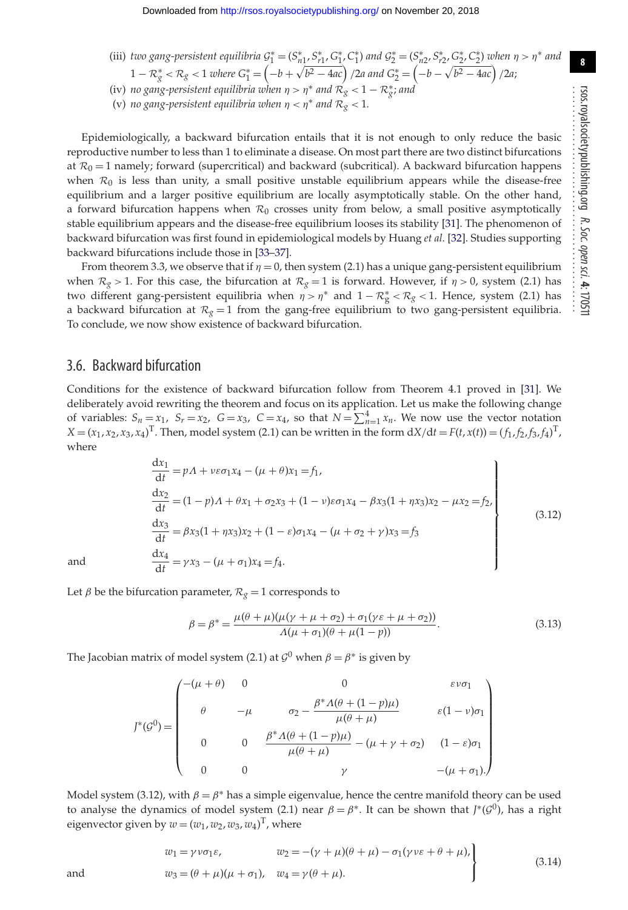$$
1 - R_g^* < R_g < 1 \text{ where } G_1^* = \left(-b + \sqrt{b^2 - 4ac}\right) / 2a \text{ and } G_2^* = \left(-b - \sqrt{b^2 - 4ac}\right) / 2a;
$$

(iv) *no gang-persistent equilibria when*  $\eta > \eta^*$  *and*  $\mathcal{R}^{'}_g < 1 - \mathcal{R}^*_g$ *; and* 

(v) *no gang-persistent equilibria when*  $\eta < \eta^*$  *and*  $\mathcal{R}_{g} < 1$ *.* 

Epidemiologically, a backward bifurcation entails that it is not enough to only reduce the basic reproductive number to less than 1 to eliminate a disease. On most part there are two distinct bifurcations at  $\mathcal{R}_0 = 1$  namely; forward (supercritical) and backward (subcritical). A backward bifurcation happens when  $\mathcal{R}_0$  is less than unity, a small positive unstable equilibrium appears while the disease-free equilibrium and a larger positive equilibrium are locally asymptotically stable. On the other hand, a forward bifurcation happens when  $\mathcal{R}_0$  crosses unity from below, a small positive asymptotically stable equilibrium appears and the disease-free equilibrium looses its stability [\[31\]](#page-13-1). The phenomenon of backward bifurcation was first found in epidemiological models by Huang *et al.* [\[32\]](#page-13-2). Studies supporting backward bifurcations include those in [\[33–](#page-13-3)[37\]](#page-13-4).

From theorem 3.3, we observe that if  $\eta = 0$ , then system (2.1) has a unique gang-persistent equilibrium when  $R_g > 1$ . For this case, the bifurcation at  $R_g = 1$  is forward. However, if  $\eta > 0$ , system (2.1) has two different gang-persistent equilibria when  $\eta > \eta^*$  and  $1 - R_g^* < R_g < 1$ . Hence, system (2.1) has a backward bifurcation at  $R_g = 1$  from the gang-free equilibrium to two gang-persistent equilibria. To conclude, we now show existence of backward bifurcation.

### 3.6. Backward bifurcation

Conditions for the existence of backward bifurcation follow from Theorem 4.1 proved in [\[31\]](#page-13-1). We deliberately avoid rewriting the theorem and focus on its application. Let us make the following change of variables:  $S_n = x_1$ ,  $S_r = x_2$ ,  $G = x_3$ ,  $C = x_4$ , so that  $N = \sum_{n=1}^{4} x_n$ . We now use the vector notation  $X = (x_1, x_2, x_3, x_4)^T$ . Then, model system (2.1) can be written in the form  $dX/dt = F(t, x(t)) = (f_1, f_2, f_3, f_4)^T$ , where

$$
\frac{dx_1}{dt} = pA + v\varepsilon \sigma_1 x_4 - (\mu + \theta)x_1 = f_1,
$$
\n
$$
\frac{dx_2}{dt} = (1 - p)A + \theta x_1 + \sigma_2 x_3 + (1 - v)\varepsilon \sigma_1 x_4 - \beta x_3 (1 + \eta x_3)x_2 - \mu x_2 = f_2,
$$
\n
$$
\frac{dx_3}{dt} = \beta x_3 (1 + \eta x_3)x_2 + (1 - \varepsilon)\sigma_1 x_4 - (\mu + \sigma_2 + \gamma)x_3 = f_3
$$
\nand\n
$$
\frac{dx_4}{dt} = \gamma x_3 - (\mu + \sigma_1)x_4 = f_4.
$$
\n(3.12)

Let  $\beta$  be the bifurcation parameter,  $\mathcal{R}_{g} = 1$  corresponds to

$$
\beta = \beta^* = \frac{\mu(\theta + \mu)(\mu(\gamma + \mu + \sigma_2) + \sigma_1(\gamma \varepsilon + \mu + \sigma_2))}{\Lambda(\mu + \sigma_1)(\theta + \mu(1 - p))}.
$$
\n(3.13)

The Jacobian matrix of model system (2.1) at  $\mathcal{G}^0$  when  $\beta = \beta^*$  is given by

$$
J^*(\mathcal{G}^0) = \begin{pmatrix} -(\mu + \theta) & 0 & 0 & \varepsilon \nu \sigma_1 \\ \theta & -\mu & \sigma_2 - \frac{\beta^* \Lambda(\theta + (1 - p)\mu)}{\mu(\theta + \mu)} & \varepsilon (1 - \nu) \sigma_1 \\ 0 & 0 & \frac{\beta^* \Lambda(\theta + (1 - p)\mu)}{\mu(\theta + \mu)} - (\mu + \gamma + \sigma_2) & (1 - \varepsilon) \sigma_1 \\ 0 & 0 & \gamma & -(\mu + \sigma_1). \end{pmatrix}
$$

Model system (3.12), with  $\beta = \beta^*$  has a simple eigenvalue, hence the centre manifold theory can be used to analyse the dynamics of model system (2.1) near  $\beta = \beta^*$ . It can be shown that  $J^*(G^0)$ , has a right eigenvector given by  $w = (w_1, w_2, w_3, w_4)^\text{T}$ , where

$$
w_1 = \gamma \nu \sigma_1 \varepsilon, \qquad w_2 = -(\gamma + \mu)(\theta + \mu) - \sigma_1(\gamma \nu \varepsilon + \theta + \mu),
$$
  
and  

$$
w_3 = (\theta + \mu)(\mu + \sigma_1), \quad w_4 = \gamma(\theta + \mu).
$$
 (3.14)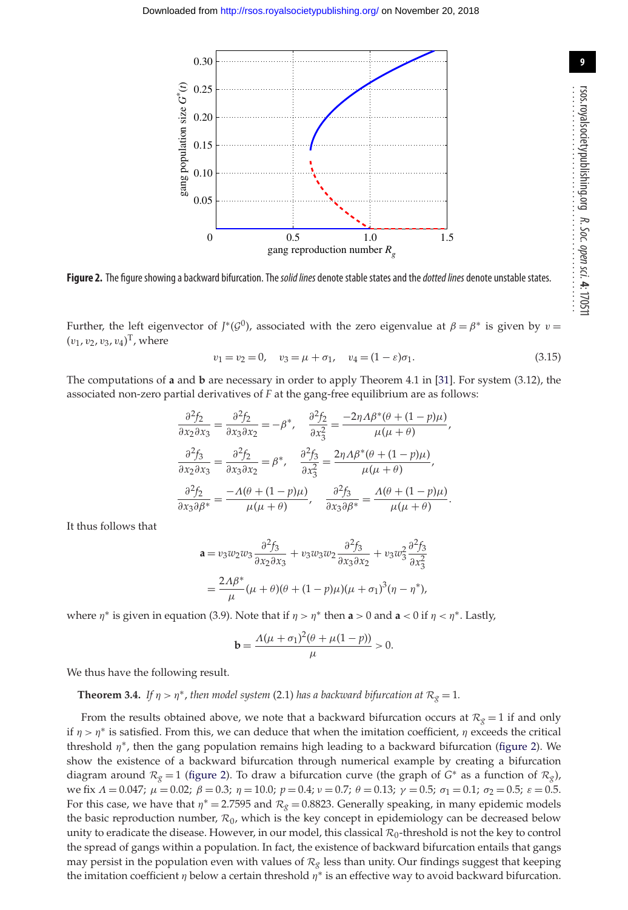<span id="page-8-0"></span>

Figure 2. The figure showing a backward bifurcation. The solid lines denote stable states and the *dotted lines* denote unstable states.

Further, the left eigenvector of *J*<sup>\*</sup>( $G^0$ ), associated with the zero eigenvalue at  $\beta = \beta^*$  is given by  $v =$  $(v_1, v_2, v_3, v_4)^{\mathrm{T}}$ , where

$$
v_1 = v_2 = 0, \quad v_3 = \mu + \sigma_1, \quad v_4 = (1 - \varepsilon)\sigma_1. \tag{3.15}
$$

The computations of **a** and **b** are necessary in order to apply Theorem 4.1 in [\[31\]](#page-13-1). For system (3.12), the associated non-zero partial derivatives of *F* at the gang-free equilibrium are as follows:

$$
\frac{\partial^2 f_2}{\partial x_2 \partial x_3} = \frac{\partial^2 f_2}{\partial x_3 \partial x_2} = -\beta^*, \quad \frac{\partial^2 f_2}{\partial x_3^2} = \frac{-2\eta \Lambda \beta^* (\theta + (1 - p)\mu)}{\mu(\mu + \theta)},
$$

$$
\frac{\partial^2 f_3}{\partial x_2 \partial x_3} = \frac{\partial^2 f_2}{\partial x_3 \partial x_2} = \beta^*, \quad \frac{\partial^2 f_3}{\partial x_3^2} = \frac{2\eta \Lambda \beta^* (\theta + (1 - p)\mu)}{\mu(\mu + \theta)},
$$

$$
\frac{\partial^2 f_2}{\partial x_3 \partial \beta^*} = \frac{-\Lambda (\theta + (1 - p)\mu)}{\mu(\mu + \theta)}, \quad \frac{\partial^2 f_3}{\partial x_3 \partial \beta^*} = \frac{\Lambda (\theta + (1 - p)\mu)}{\mu(\mu + \theta)}.
$$

It thus follows that

$$
\mathbf{a} = v_3 w_2 w_3 \frac{\partial^2 f_3}{\partial x_2 \partial x_3} + v_3 w_3 w_2 \frac{\partial^2 f_3}{\partial x_3 \partial x_2} + v_3 w_3^2 \frac{\partial^2 f_3}{\partial x_3^2}
$$

$$
= \frac{2\Lambda \beta^*}{\mu} (\mu + \theta)(\theta + (1 - p)\mu)(\mu + \sigma_1)^3 (\eta - \eta^*),
$$

where  $\eta^*$  is given in equation (3.9). Note that if  $\eta > \eta^*$  then **a** > 0 and **a** < 0 if  $\eta < \eta^*$ . Lastly,

$$
b = \frac{\Lambda(\mu + \sigma_1)^2(\theta + \mu(1 - p))}{\mu} > 0.
$$

We thus have the following result.

**Theorem 3.4.** *If*  $\eta > \eta^*$ , *then model system* (2.1) *has a backward bifurcation at*  $\mathcal{R}_{\chi} = 1$ *.* 

From the results obtained above, we note that a backward bifurcation occurs at  $\mathcal{R}_g = 1$  if and only if  $\eta > \eta^*$  is satisfied. From this, we can deduce that when the imitation coefficient,  $\eta$  exceeds the critical threshold  $\eta^*$ , then the gang population remains high leading to a backward bifurcation [\(figure 2\)](#page-8-0). We show the existence of a backward bifurcation through numerical example by creating a bifurcation diagram around  $R_g = 1$  [\(figure 2\)](#page-8-0). To draw a bifurcation curve (the graph of *G*<sup>∗</sup> as a function of  $R_g$ ), we fix  $Λ = 0.047$ ;  $μ = 0.02$ ;  $β = 0.3$ ;  $η = 10.0$ ;  $p = 0.4$ ;  $ν = 0.7$ ;  $θ = 0.13$ ;  $γ = 0.5$ ;  $σ<sub>1</sub> = 0.1$ ;  $σ<sub>2</sub> = 0.5$ ;  $ε = 0.5$ . For this case, we have that  $\eta^* = 2.7595$  and  $\mathcal{R}_{g} = 0.8823$ . Generally speaking, in many epidemic models the basic reproduction number,  $\mathcal{R}_0$ , which is the key concept in epidemiology can be decreased below unity to eradicate the disease. However, in our model, this classical  $R_0$ -threshold is not the key to control the spread of gangs within a population. In fact, the existence of backward bifurcation entails that gangs may persist in the population even with values of  $\mathcal{R}_g$  less than unity. Our findings suggest that keeping the imitation coefficient  $\eta$  below a certain threshold  $\eta^*$  is an effective way to avoid backward bifurcation.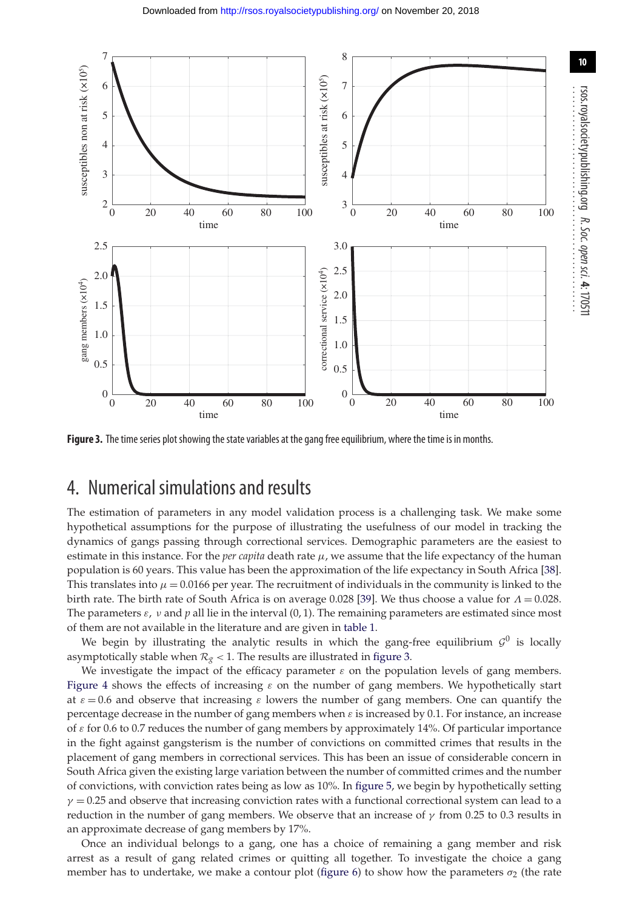<span id="page-9-0"></span>

**Figure 3.** The time series plot showing the state variables at the gang free equilibrium, where the time is in months.

## 4. Numerical simulations and results

The estimation of parameters in any model validation process is a challenging task. We make some hypothetical assumptions for the purpose of illustrating the usefulness of our model in tracking the dynamics of gangs passing through correctional services. Demographic parameters are the easiest to estimate in this instance. For the *per capita* death rate  $\mu$ , we assume that the life expectancy of the human population is 60 years. This value has been the approximation of the life expectancy in South Africa [\[38\]](#page-13-5). This translates into  $\mu = 0.0166$  per year. The recruitment of individuals in the community is linked to the birth rate. The birth rate of South Africa is on average 0.028 [\[39\]](#page-13-6). We thus choose a value for  $\Lambda = 0.028$ . The parameters  $\varepsilon$ ,  $\nu$  and  $p$  all lie in the interval (0, 1). The remaining parameters are estimated since most of them are not available in the literature and are given in [table 1.](#page-2-0)

We begin by illustrating the analytic results in which the gang-free equilibrium  $G^0$  is locally asymptotically stable when  $\mathcal{R}_{g}$  < 1. The results are illustrated in [figure 3.](#page-9-0)

We investigate the impact of the efficacy parameter  $\varepsilon$  on the population levels of gang members. [Figure 4](#page-10-0) shows the effects of increasing  $\varepsilon$  on the number of gang members. We hypothetically start at  $\varepsilon = 0.6$  and observe that increasing  $\varepsilon$  lowers the number of gang members. One can quantify the percentage decrease in the number of gang members when  $\varepsilon$  is increased by 0.1. For instance, an increase of ε for 0.6 to 0.7 reduces the number of gang members by approximately 14%. Of particular importance in the fight against gangsterism is the number of convictions on committed crimes that results in the placement of gang members in correctional services. This has been an issue of considerable concern in South Africa given the existing large variation between the number of committed crimes and the number of convictions, with conviction rates being as low as 10%. In [figure 5,](#page-10-1) we begin by hypothetically setting  $\gamma$  = 0.25 and observe that increasing conviction rates with a functional correctional system can lead to a reduction in the number of gang members. We observe that an increase of  $\gamma$  from 0.25 to 0.3 results in an approximate decrease of gang members by 17%.

Once an individual belongs to a gang, one has a choice of remaining a gang member and risk arrest as a result of gang related crimes or quitting all together. To investigate the choice a gang member has to undertake, we make a contour plot [\(figure 6\)](#page-11-0) to show how the parameters  $\sigma_2$  (the rate

**10**

rsos.royalsocietypublishing.org

R. Soc.

open

sci. **4**: 170511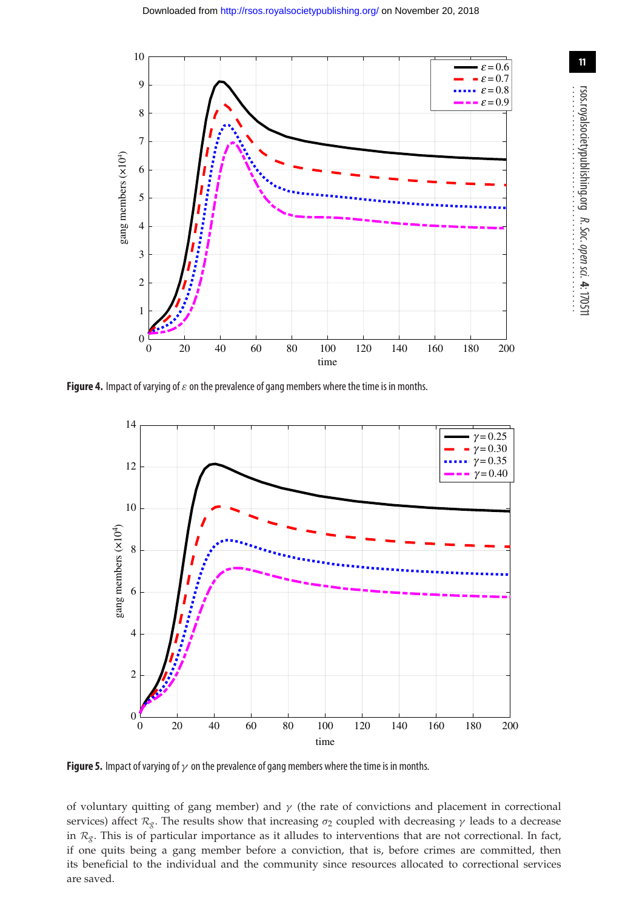<span id="page-10-0"></span>

<span id="page-10-1"></span>**Figure 4.** Impact of varying of  $\varepsilon$  on the prevalence of gang members where the time is in months.



**Figure 5.** Impact of varying of  $\gamma$  on the prevalence of gang members where the time is in months.

of voluntary quitting of gang member) and  $\gamma$  (the rate of convictions and placement in correctional services) affect  $\mathcal{R}_g$ . The results show that increasing  $\sigma_2$  coupled with decreasing  $\gamma$  leads to a decrease in  $\mathcal{R}_g$ . This is of particular importance as it alludes to interventions that are not correctional. In fact, if one quits being a gang member before a conviction, that is, before crimes are committed, then its beneficial to the individual and the community since resources allocated to correctional services are saved.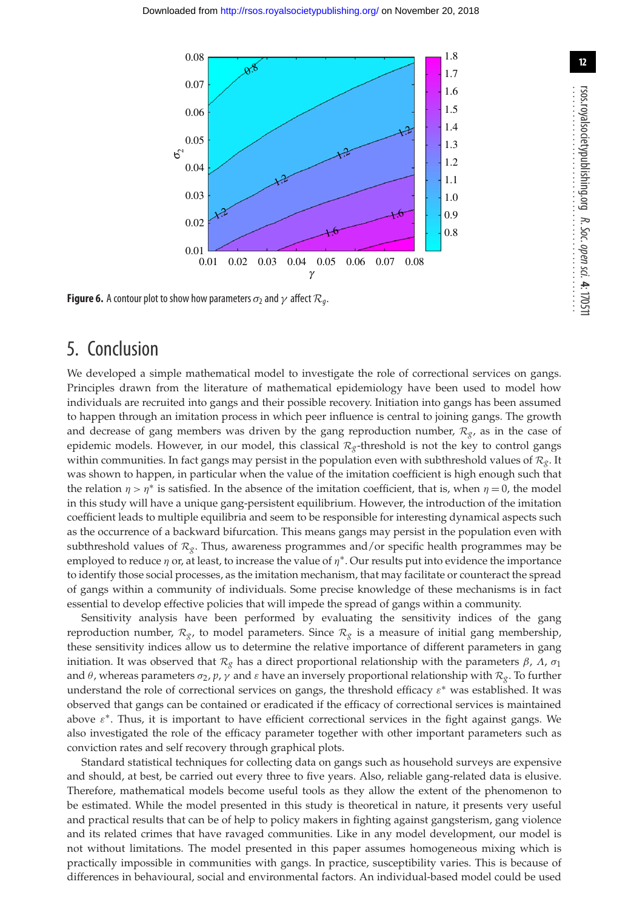<span id="page-11-0"></span>

**Figure 6.** A contour plot to show how parameters  $\sigma_2$  and  $\gamma$  affect  $\mathcal{R}_q$ .

## 5. Conclusion

We developed a simple mathematical model to investigate the role of correctional services on gangs. Principles drawn from the literature of mathematical epidemiology have been used to model how individuals are recruited into gangs and their possible recovery. Initiation into gangs has been assumed to happen through an imitation process in which peer influence is central to joining gangs. The growth and decrease of gang members was driven by the gang reproduction number, *Rg*, as in the case of epidemic models. However, in our model, this classical  $R_g$ -threshold is not the key to control gangs within communities. In fact gangs may persist in the population even with subthreshold values of *Rg*. It was shown to happen, in particular when the value of the imitation coefficient is high enough such that the relation  $\eta > \eta^*$  is satisfied. In the absence of the imitation coefficient, that is, when  $\eta = 0$ , the model in this study will have a unique gang-persistent equilibrium. However, the introduction of the imitation coefficient leads to multiple equilibria and seem to be responsible for interesting dynamical aspects such as the occurrence of a backward bifurcation. This means gangs may persist in the population even with subthreshold values of  $\mathcal{R}_{g}$ . Thus, awareness programmes and/or specific health programmes may be employed to reduce  $\eta$  or, at least, to increase the value of  $\eta^*$ . Our results put into evidence the importance to identify those social processes, as the imitation mechanism, that may facilitate or counteract the spread of gangs within a community of individuals. Some precise knowledge of these mechanisms is in fact essential to develop effective policies that will impede the spread of gangs within a community.

Sensitivity analysis have been performed by evaluating the sensitivity indices of the gang reproduction number,  $\mathcal{R}_{g}$ , to model parameters. Since  $\mathcal{R}_{g}$  is a measure of initial gang membership, these sensitivity indices allow us to determine the relative importance of different parameters in gang initiation. It was observed that  $\mathcal{R}_g$  has a direct proportional relationship with the parameters  $β$ ,  $Λ$ ,  $σ_1$ and  $\theta$ , whereas parameters  $\sigma_2$ ,  $p$ ,  $\gamma$  and  $\varepsilon$  have an inversely proportional relationship with  $\mathcal{R}_g$ . To further understand the role of correctional services on gangs, the threshold efficacy  $\varepsilon^*$  was established. It was observed that gangs can be contained or eradicated if the efficacy of correctional services is maintained above  $\varepsilon^*$ . Thus, it is important to have efficient correctional services in the fight against gangs. We also investigated the role of the efficacy parameter together with other important parameters such as conviction rates and self recovery through graphical plots.

Standard statistical techniques for collecting data on gangs such as household surveys are expensive and should, at best, be carried out every three to five years. Also, reliable gang-related data is elusive. Therefore, mathematical models become useful tools as they allow the extent of the phenomenon to be estimated. While the model presented in this study is theoretical in nature, it presents very useful and practical results that can be of help to policy makers in fighting against gangsterism, gang violence and its related crimes that have ravaged communities. Like in any model development, our model is not without limitations. The model presented in this paper assumes homogeneous mixing which is practically impossible in communities with gangs. In practice, susceptibility varies. This is because of differences in behavioural, social and environmental factors. An individual-based model could be used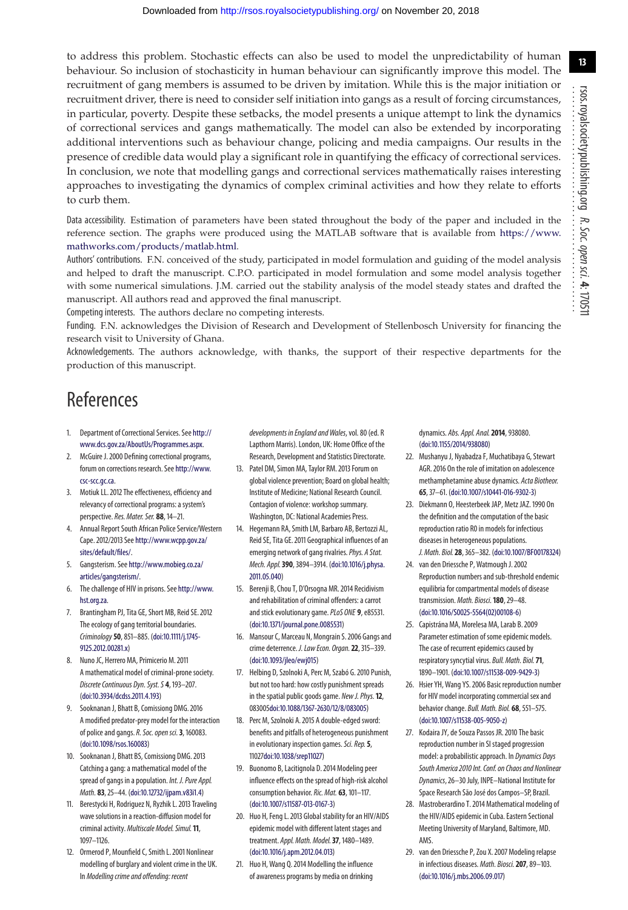to address this problem. Stochastic effects can also be used to model the unpredictability of human behaviour. So inclusion of stochasticity in human behaviour can significantly improve this model. The recruitment of gang members is assumed to be driven by imitation. While this is the major initiation or recruitment driver, there is need to consider self initiation into gangs as a result of forcing circumstances, in particular, poverty. Despite these setbacks, the model presents a unique attempt to link the dynamics of correctional services and gangs mathematically. The model can also be extended by incorporating additional interventions such as behaviour change, policing and media campaigns. Our results in the presence of credible data would play a significant role in quantifying the efficacy of correctional services. In conclusion, we note that modelling gangs and correctional services mathematically raises interesting approaches to investigating the dynamics of complex criminal activities and how they relate to efforts to curb them.

Data accessibility. Estimation of parameters have been stated throughout the body of the paper and included in the reference section. The graphs were produced using the MATLAB software that is available from [https://www.](https://www.mathworks.com/products/matlab.html) [mathworks.com/products/matlab.html.](https://www.mathworks.com/products/matlab.html)

Authors' contributions. F.N. conceived of the study, participated in model formulation and guiding of the model analysis and helped to draft the manuscript. C.P.O. participated in model formulation and some model analysis together with some numerical simulations. J.M. carried out the stability analysis of the model steady states and drafted the manuscript. All authors read and approved the final manuscript.

Competing interests. The authors declare no competing interests.

Funding. F.N. acknowledges the Division of Research and Development of Stellenbosch University for financing the research visit to University of Ghana.

Acknowledgements. The authors acknowledge, with thanks, the support of their respective departments for the production of this manuscript.

# References

- <span id="page-12-0"></span>1. Department of Correctional Services. See [http://](http://www.dcs.gov.za/AboutUs/Programmes.aspx) [www.dcs.gov.za/AboutUs/Programmes.aspx.](http://www.dcs.gov.za/AboutUs/Programmes.aspx)
- <span id="page-12-1"></span>2. McGuire J. 2000 Defining correctional programs, forum on corrections research. See [http://www.](http://www.csc-scc.gc.ca) [csc-scc.gc.ca.](http://www.csc-scc.gc.ca)
- <span id="page-12-2"></span>3. Motiuk LL. 2012 The effectiveness, efficiency and relevancy of correctional programs: a system's perspective. Res. Mater. Ser. 88, 14-21.
- <span id="page-12-3"></span>4. Annual Report South African Police Service/Western Cape. 2012/2013 See [http://www.wcpp.gov.za/](http://www.wcpp.gov.za/sites/default/files/) [sites/default/files/.](http://www.wcpp.gov.za/sites/default/files/)
- <span id="page-12-4"></span>5. Gangsterism. See [http://www.mobieg.co.za/](http://www.mobieg.co.za/articles/gangsterism/) [articles/gangsterism/.](http://www.mobieg.co.za/articles/gangsterism/)
- <span id="page-12-5"></span>The challenge of HIV in prisons. See [http://www.](http://www.hst.org.za) [hst.org.za.](http://www.hst.org.za)
- <span id="page-12-6"></span>7. Brantingham PJ, Tita GE, Short MB, Reid SE. 2012 The ecology of gang territorial boundaries. Criminology**50**, 851–885. [\(doi:10.1111/j.1745-](http://dx.doi.org/doi:10.1111/j.1745-9125.2012.00281.x) [9125.2012.00281.x\)](http://dx.doi.org/doi:10.1111/j.1745-9125.2012.00281.x)
- <span id="page-12-7"></span>8. Nuno JC, Herrero MA, Primicerio M. 2011 A mathematical model of criminal-prone society. Discrete Continuous Dyn. Syst. S **4**, 193–207. [\(doi:10.3934/dcdss.2011.4.193\)](http://dx.doi.org/doi:10.3934/dcdss.2011.4.193)
- <span id="page-12-8"></span>9. Sooknanan J, Bhatt B, Comissiong DMG. 2016 A modified predator-prey model for the interaction of police and gangs.R. Soc. open sci.**3**, 160083. [\(doi:10.1098/rsos.160083\)](http://dx.doi.org/doi:10.1098/rsos.160083)
- <span id="page-12-9"></span>10. Sooknanan J, Bhatt BS, Comissiong DMG. 2013 Catching a gang: a mathematical model of the spread of gangs in a population. Int. J. Pure Appl. Math. **83**, 25–44. [\(doi:10.12732/ijpam.v83i1.4\)](http://dx.doi.org/doi:10.12732/ijpam.v83i1.4)
- <span id="page-12-10"></span>11. Berestycki H, Rodriguez N, Ryzhik L. 2013 Traveling wave solutions in a reaction-diffusion model for criminal activity. Multiscale Model. Simul.**11**, 1097–1126.
- <span id="page-12-11"></span>12. Ormerod P, Mounfield C, Smith L. 2001 Nonlinear modelling of burglary and violent crime in the UK. In Modelling crime and offending: recent

developments in England and Wales, vol. 80 (ed. R Lapthorn Marris). London, UK: Home Office of the Research, Development and Statistics Directorate.

- <span id="page-12-12"></span>13. Patel DM, Simon MA, Taylor RM. 2013 Forum on global violence prevention; Board on global health; Institute of Medicine; National Research Council. Contagion of violence: workshop summary. Washington, DC: National Academies Press.
- <span id="page-12-13"></span>14. Hegemann RA, Smith LM, Barbaro AB, Bertozzi AL, Reid SE, Tita GE. 2011 Geographical influences of an emerging network of gang rivalries. Phys. A Stat. Mech. Appl.**390**, 3894–3914. [\(doi:10.1016/j.physa.](http://dx.doi.org/doi:10.1016/j.physa.2011.05.040) [2011.05.040\)](http://dx.doi.org/doi:10.1016/j.physa.2011.05.040)
- <span id="page-12-14"></span>15. Berenji B, Chou T, D'Orsogna MR. 2014 Recidivism and rehabilitation of criminal offenders: a carrot and stick evolutionary game. PLoS ONE 9, e85531. [\(doi:10.1371/journal.pone.0085531\)](http://dx.doi.org/doi:10.1371/journal.pone.0085531)
- 16. Mansour C, Marceau N, Mongrain S. 2006 Gangs and crime deterrence. J. Law Econ. Organ.**22**, 315–339. [\(doi:10.1093/jleo/ewj015\)](http://dx.doi.org/doi:10.1093/jleo/ewj015)
- 17. Helbing D, Szolnoki A, Perc M, Szabó G. 2010 Punish, but not too hard: how costly punishment spreads in the spatial public goods game. New J. Phys.**12**, 08300[5doi:10.1088/1367-2630/12/8/083005\)](http://dx.doi.org/doi:10.1088/1367-2630/12/8/083005)
- <span id="page-12-15"></span>18. Perc M, Szolnoki A. 2015 A double-edged sword: benefits and pitfalls of heterogeneous punishment in evolutionary inspection games. Sci. Rep. 5, 1102[7doi:10.1038/srep11027\)](http://dx.doi.org/doi:10.1038/srep11027)
- <span id="page-12-16"></span>19. Buonomo B, Lacitignola D. 2014 Modeling peer influence effects on the spread of high-risk alcohol consumption behavior. Ric. Mat. **63**, 101-117. [\(doi:10.1007/s11587-013-0167-3\)](http://dx.doi.org/doi:10.1007/s11587-013-0167-3)
- <span id="page-12-17"></span>20. Huo H, Feng L. 2013 Global stability for an HIV/AIDS epidemic model with different latent stages and treatment. Appl. Math. Model.**37**, 1480–1489. [\(doi:10.1016/j.apm.2012.04.013\)](http://dx.doi.org/doi:10.1016/j.apm.2012.04.013)
- 21. Huo H, Wang Q. 2014 Modelling the influence of awareness programs by media on drinking

dynamics. Abs. Appl. Anal.**2014**, 938080. [\(doi:10.1155/2014/938080\)](http://dx.doi.org/doi:10.1155/2014/938080)

- <span id="page-12-18"></span>22. Mushanyu J, Nyabadza F, Muchatibaya G, Stewart AGR. 2016 On the role of imitation on adolescence methamphetamine abuse dynamics. Acta Biotheor. **65**, 37–61. [\(doi:10.1007/s10441-016-9302-3\)](http://dx.doi.org/doi:10.1007/s10441-016-9302-3)
- <span id="page-12-19"></span>23. Diekmann O, Heesterbeek JAP, Metz JAZ. 1990 On the definition and the computation of the basic reproduction ratio R0 in models for infectious diseases in heterogeneous populations. J. Math. Biol.**28**, 365–382. [\(doi:10.1007/BF00178324\)](http://dx.doi.org/doi:10.1007/BF00178324)
- <span id="page-12-20"></span>24. van den Driessche P, Watmough J. 2002 Reproduction numbers and sub-threshold endemic equilibria for compartmental models of disease transmission. Math. Biosci.**180**, 29–48. [\(doi:10.1016/S0025-5564\(02\)00108-6\)](http://dx.doi.org/doi:10.1016/S0025-5564(02)00108-6)
- <span id="page-12-21"></span>25. Capistrána MA, Morelesa MA, Larab B. 2009 Parameter estimation of some epidemic models. The case of recurrent epidemics caused by respiratory syncytial virus. Bull. Math. Biol.**71**, 1890–1901. [\(doi:10.1007/s11538-009-9429-3\)](http://dx.doi.org/doi:10.1007/s11538-009-9429-3)
- 26. Hsier YH, Wang YS. 2006 Basic reproduction number for HIV model incorporating commercial sex and behavior change. Bull. Math. Biol. **68**, 551–575. [\(doi:10.1007/s11538-005-9050-z\)](http://dx.doi.org/doi:10.1007/s11538-005-9050-z)
- 27. Kodaira JY, de Souza Passos JR. 2010 The basic reproduction number in SI staged progression model: a probabilistic approach. In Dynamics Days South America 2010 Int. Conf. on Chaos and Nonlinear Dynamics, 26–30 July, INPE–National Institute for Space Research São José dos Campos–SP, Brazil.
- 28. Mastroberardino T. 2014 Mathematical modeling of the HIV/AIDS epidemic in Cuba. Eastern Sectional Meeting University of Maryland, Baltimore, MD. AMS.
- <span id="page-12-22"></span>29. van den Driessche P, Zou X. 2007 Modeling relapse in infectious diseases. Math. Biosci.**207**, 89–103. [\(doi:10.1016/j.mbs.2006.09.017\)](http://dx.doi.org/doi:10.1016/j.mbs.2006.09.017)